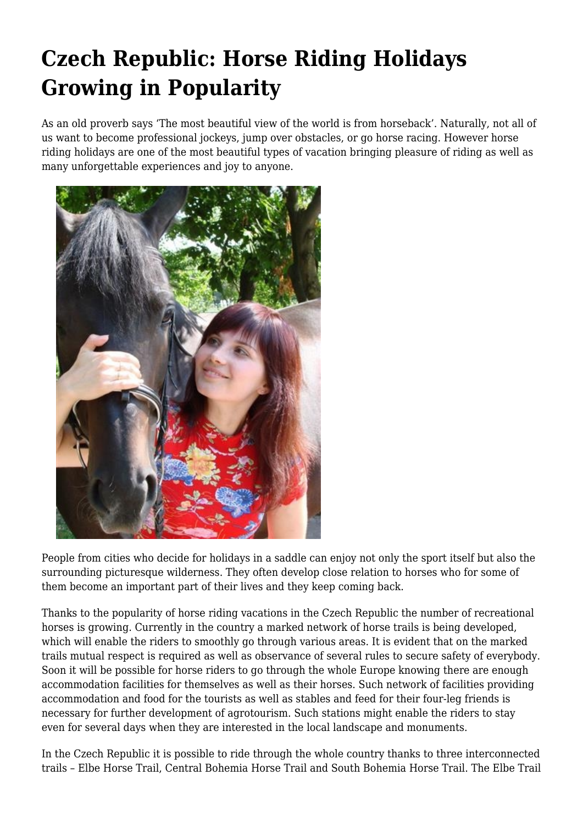## **Czech Republic: Horse Riding Holidays Growing in Popularity**

As an old proverb says 'The most beautiful view of the world is from horseback'. Naturally, not all of us want to become professional jockeys, jump over obstacles, or go horse racing. However horse riding holidays are one of the most beautiful types of vacation bringing pleasure of riding as well as many unforgettable experiences and joy to anyone.



People from cities who decide for holidays in a saddle can enjoy not only the sport itself but also the surrounding picturesque wilderness. They often develop close relation to horses who for some of them become an important part of their lives and they keep coming back.

Thanks to the popularity of horse riding vacations in the Czech Republic the number of recreational horses is growing. Currently in the country a marked network of horse trails is being developed, which will enable the riders to smoothly go through various areas. It is evident that on the marked trails mutual respect is required as well as observance of several rules to secure safety of everybody. Soon it will be possible for horse riders to go through the whole Europe knowing there are enough accommodation facilities for themselves as well as their horses. Such network of facilities providing accommodation and food for the tourists as well as stables and feed for their four-leg friends is necessary for further development of agrotourism. Such stations might enable the riders to stay even for several days when they are interested in the local landscape and monuments.

In the Czech Republic it is possible to ride through the whole country thanks to three interconnected trails – Elbe Horse Trail, Central Bohemia Horse Trail and South Bohemia Horse Trail. The Elbe Trail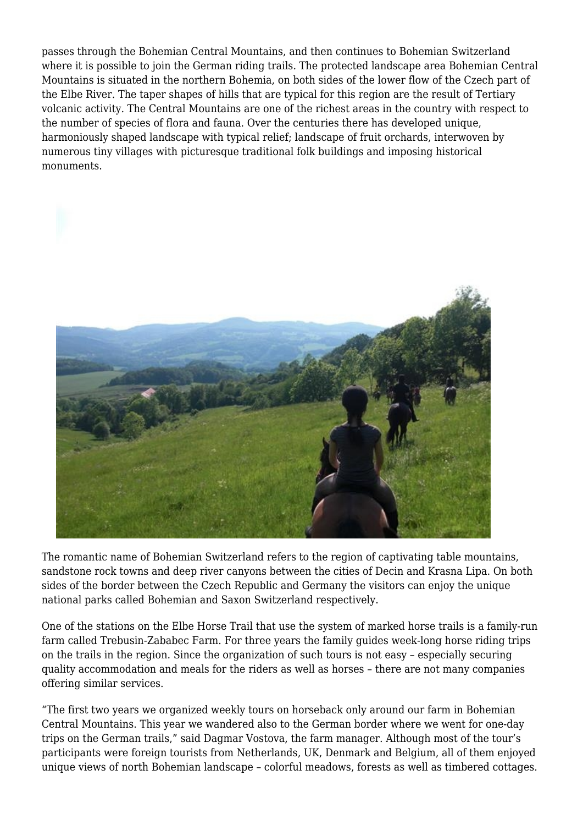passes through the Bohemian Central Mountains, and then continues to Bohemian Switzerland where it is possible to join the German riding trails. The protected landscape area Bohemian Central Mountains is situated in the northern Bohemia, on both sides of the lower flow of the Czech part of the Elbe River. The taper shapes of hills that are typical for this region are the result of Tertiary volcanic activity. The Central Mountains are one of the richest areas in the country with respect to the number of species of flora and fauna. Over the centuries there has developed unique, harmoniously shaped landscape with typical relief; landscape of fruit orchards, interwoven by numerous tiny villages with picturesque traditional folk buildings and imposing historical monuments.



The romantic name of Bohemian Switzerland refers to the region of captivating table mountains, sandstone rock towns and deep river canyons between the cities of Decin and Krasna Lipa. On both sides of the border between the Czech Republic and Germany the visitors can enjoy the unique national parks called Bohemian and Saxon Switzerland respectively.

One of the stations on the Elbe Horse Trail that use the system of marked horse trails is a family-run farm called Trebusin-Zababec Farm. For three years the family guides week-long horse riding trips on the trails in the region. Since the organization of such tours is not easy – especially securing quality accommodation and meals for the riders as well as horses – there are not many companies offering similar services.

"The first two years we organized weekly tours on horseback only around our farm in Bohemian Central Mountains. This year we wandered also to the German border where we went for one-day trips on the German trails," said Dagmar Vostova, the farm manager. Although most of the tour's participants were foreign tourists from Netherlands, UK, Denmark and Belgium, all of them enjoyed unique views of north Bohemian landscape – colorful meadows, forests as well as timbered cottages.